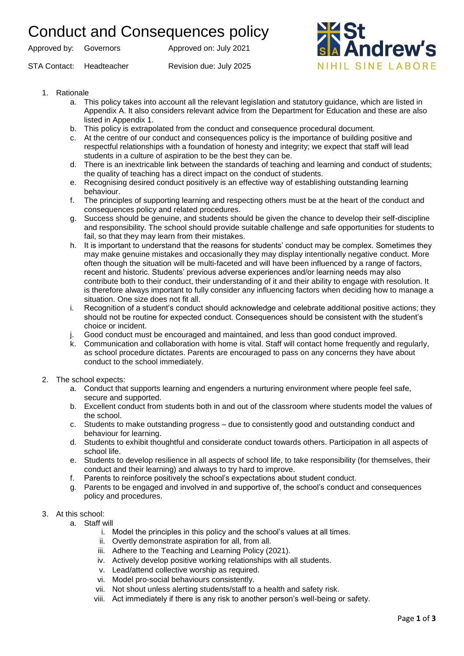# Conduct and Consequences policy

Approved by: Governors Approved on: July 2021

STA Contact: Headteacher Revision due: July 2025



### 1. Rationale

- a. This policy takes into account all the relevant legislation and statutory guidance, which are listed in Appendix A. It also considers relevant advice from the Department for Education and these are also listed in Appendix 1.
- b. This policy is extrapolated from the conduct and consequence procedural document.
- c. At the centre of our conduct and consequences policy is the importance of building positive and respectful relationships with a foundation of honesty and integrity; we expect that staff will lead students in a culture of aspiration to be the best they can be.
- d. There is an inextricable link between the standards of teaching and learning and conduct of students; the quality of teaching has a direct impact on the conduct of students.
- e. Recognising desired conduct positively is an effective way of establishing outstanding learning behaviour.
- f. The principles of supporting learning and respecting others must be at the heart of the conduct and consequences policy and related procedures.
- g. Success should be genuine, and students should be given the chance to develop their self-discipline and responsibility. The school should provide suitable challenge and safe opportunities for students to fail, so that they may learn from their mistakes.
- h. It is important to understand that the reasons for students' conduct may be complex. Sometimes they may make genuine mistakes and occasionally they may display intentionally negative conduct. More often though the situation will be multi-faceted and will have been influenced by a range of factors, recent and historic. Students' previous adverse experiences and/or learning needs may also contribute both to their conduct, their understanding of it and their ability to engage with resolution. It is therefore always important to fully consider any influencing factors when deciding how to manage a situation. One size does not fit all.
- i. Recognition of a student's conduct should acknowledge and celebrate additional positive actions; they should not be routine for expected conduct. Consequences should be consistent with the student's choice or incident.
- j. Good conduct must be encouraged and maintained, and less than good conduct improved.
- k. Communication and collaboration with home is vital. Staff will contact home frequently and regularly, as school procedure dictates. Parents are encouraged to pass on any concerns they have about conduct to the school immediately.

#### 2. The school expects:

- a. Conduct that supports learning and engenders a nurturing environment where people feel safe, secure and supported.
- b. Excellent conduct from students both in and out of the classroom where students model the values of the school.
- c. Students to make outstanding progress due to consistently good and outstanding conduct and behaviour for learning.
- d. Students to exhibit thoughtful and considerate conduct towards others. Participation in all aspects of school life.
- e. Students to develop resilience in all aspects of school life, to take responsibility (for themselves, their conduct and their learning) and always to try hard to improve.
- f. Parents to reinforce positively the school's expectations about student conduct.
- g. Parents to be engaged and involved in and supportive of, the school's conduct and consequences policy and procedures.

#### 3. At this school:

- a. Staff will
	- i. Model the principles in this policy and the school's values at all times.
	- ii. Overtly demonstrate aspiration for all, from all.
	- iii. Adhere to the Teaching and Learning Policy (2021).
	- iv. Actively develop positive working relationships with all students.
	- v. Lead/attend collective worship as required.
	- vi. Model pro-social behaviours consistently.
	- vii. Not shout unless alerting students/staff to a health and safety risk.
	- viii. Act immediately if there is any risk to another person's well-being or safety.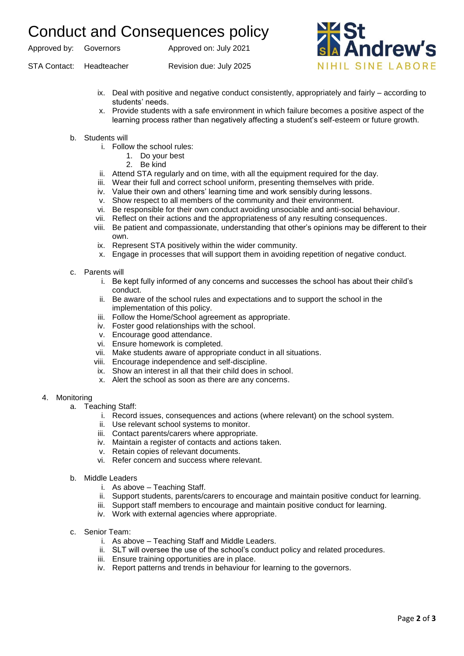### Conduct and Consequences policy

Approved by: Governors Approved on: July 2021

STA Contact: Headteacher Revision due: July 2025



- ix. Deal with positive and negative conduct consistently, appropriately and fairly according to students' needs.
- x. Provide students with a safe environment in which failure becomes a positive aspect of the learning process rather than negatively affecting a student's self-esteem or future growth.
- b. Students will
	- i. Follow the school rules:
		- 1. Do your best
		- 2. Be kind
	- ii. Attend STA regularly and on time, with all the equipment required for the day.
	- iii. Wear their full and correct school uniform, presenting themselves with pride.
	- iv. Value their own and others' learning time and work sensibly during lessons.
	- v. Show respect to all members of the community and their environment.
	- vi. Be responsible for their own conduct avoiding unsociable and anti-social behaviour.
	- vii. Reflect on their actions and the appropriateness of any resulting consequences.
	- viii. Be patient and compassionate, understanding that other's opinions may be different to their own.
	- ix. Represent STA positively within the wider community.
	- x. Engage in processes that will support them in avoiding repetition of negative conduct.
- c. Parents will
	- i. Be kept fully informed of any concerns and successes the school has about their child's conduct.
	- ii. Be aware of the school rules and expectations and to support the school in the implementation of this policy.
	- iii. Follow the Home/School agreement as appropriate.
	- iv. Foster good relationships with the school.
	- v. Encourage good attendance.
	- vi. Ensure homework is completed.
	- vii. Make students aware of appropriate conduct in all situations.
	- viii. Encourage independence and self-discipline.
	- ix. Show an interest in all that their child does in school.
	- x. Alert the school as soon as there are any concerns.

#### 4. Monitoring

- a. Teaching Staff:
	- i. Record issues, consequences and actions (where relevant) on the school system.
	- ii. Use relevant school systems to monitor.
	- iii. Contact parents/carers where appropriate.
	- iv. Maintain a register of contacts and actions taken.
	- v. Retain copies of relevant documents.
	- vi. Refer concern and success where relevant.
- b. Middle Leaders
	- i. As above Teaching Staff.
	- ii. Support students, parents/carers to encourage and maintain positive conduct for learning.
	- iii. Support staff members to encourage and maintain positive conduct for learning.
	- iv. Work with external agencies where appropriate.
- c. Senior Team:
	- i. As above Teaching Staff and Middle Leaders.
	- ii. SLT will oversee the use of the school's conduct policy and related procedures.
	- iii. Ensure training opportunities are in place.
	- iv. Report patterns and trends in behaviour for learning to the governors.